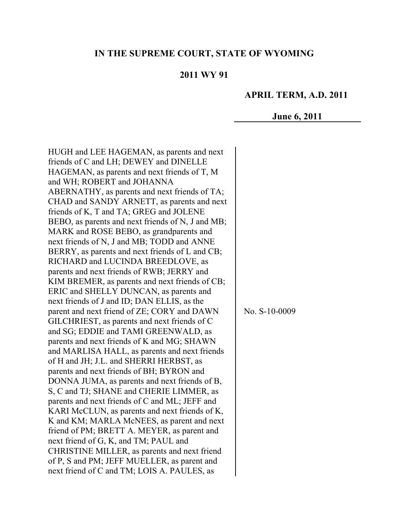#### **IN THE SUPREME COURT, STATE OF WYOMING**

#### **2011 WY 91**

#### **APRIL TERM, A.D. 2011**

**June 6, 2011**

HUGH and LEE HAGEMAN, as parents and next friends of C and LH; DEWEY and DINELLE HAGEMAN, as parents and next friends of T, M and WH; ROBERT and JOHANNA ABERNATHY, as parents and next friends of TA; CHAD and SANDY ARNETT, as parents and next friends of K, T and TA; GREG and JOLENE BEBO, as parents and next friends of N, J and MB; MARK and ROSE BEBO, as grandparents and next friends of N, J and MB; TODD and ANNE BERRY, as parents and next friends of L and CB; RICHARD and LUCINDA BREEDLOVE, as parents and next friends of RWB; JERRY and KIM BREMER, as parents and next friends of CB; ERIC and SHELLY DUNCAN, as parents and next friends of J and ID; DAN ELLIS, as the parent and next friend of ZE; CORY and DAWN GILCHRIEST, as parents and next friends of C and SG; EDDIE and TAMI GREENWALD, as parents and next friends of K and MG; SHAWN and MARLISA HALL, as parents and next friends of H and JH; J.L. and SHERRI HERBST, as parents and next friends of BH; BYRON and DONNA JUMA, as parents and next friends of B, S, C and TJ; SHANE and CHERIE LIMMER, as parents and next friends of C and ML; JEFF and KARI McCLUN, as parents and next friends of K, K and KM; MARLA McNEES, as parent and next friend of PM; BRETT A. MEYER, as parent and next friend of G, K, and TM; PAUL and CHRISTINE MILLER, as parents and next friend of P, S and PM; JEFF MUELLER, as parent and next friend of C and TM; LOIS A. PAULES, as

No. S-10-0009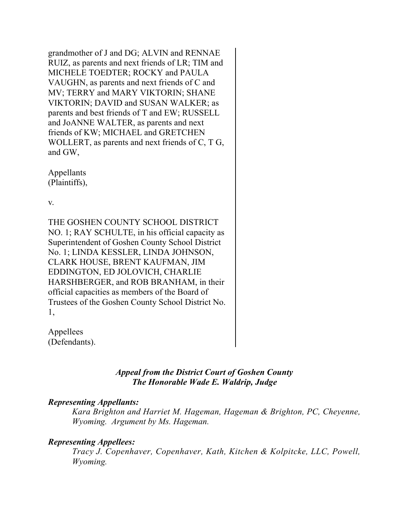grandmother of J and DG; ALVIN and RENNAE RUIZ, as parents and next friends of LR; TIM and MICHELE TOEDTER; ROCKY and PAULA VAUGHN, as parents and next friends of C and MV; TERRY and MARY VIKTORIN; SHANE VIKTORIN; DAVID and SUSAN WALKER; as parents and best friends of T and EW; RUSSELL and JoANNE WALTER, as parents and next friends of KW; MICHAEL and GRETCHEN WOLLERT, as parents and next friends of C, T G, and GW,

Appellants (Plaintiffs),

v.

THE GOSHEN COUNTY SCHOOL DISTRICT NO. 1; RAY SCHULTE, in his official capacity as Superintendent of Goshen County School District No. 1; LINDA KESSLER, LINDA JOHNSON, CLARK HOUSE, BRENT KAUFMAN, JIM EDDINGTON, ED JOLOVICH, CHARLIE HARSHBERGER, and ROB BRANHAM, in their official capacities as members of the Board of Trustees of the Goshen County School District No. 1,

Appellees (Defendants).

# *Appeal from the District Court of Goshen County The Honorable Wade E. Waldrip, Judge*

# *Representing Appellants:*

*Kara Brighton and Harriet M. Hageman, Hageman & Brighton, PC, Cheyenne, Wyoming. Argument by Ms. Hageman.*

# *Representing Appellees:*

*Tracy J. Copenhaver, Copenhaver, Kath, Kitchen & Kolpitcke, LLC, Powell, Wyoming.*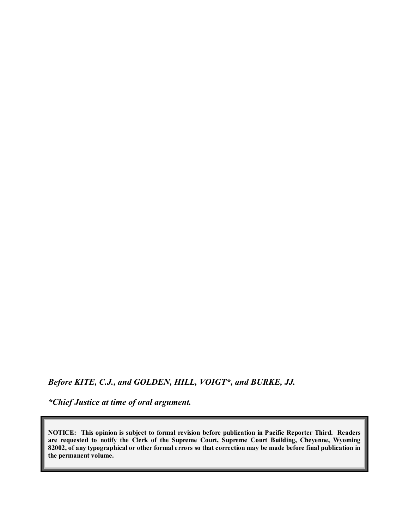*Before KITE, C.J., and GOLDEN, HILL, VOIGT\*, and BURKE, JJ.*

*\*Chief Justice at time of oral argument.*

**NOTICE: This opinion is subject to formal revision before publication in Pacific Reporter Third. Readers are requested to notify the Clerk of the Supreme Court, Supreme Court Building, Cheyenne, Wyoming** 82002, of any typographical or other formal errors so that correction may be made before final publication in **the permanent volume.**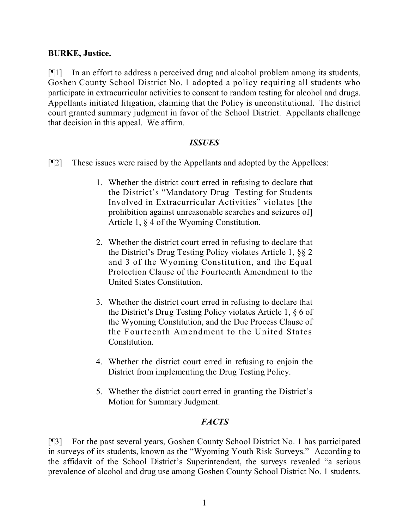### **BURKE, Justice.**

[¶1] In an effort to address a perceived drug and alcohol problem among its students, Goshen County School District No. 1 adopted a policy requiring all students who participate in extracurricular activities to consent to random testing for alcohol and drugs. Appellants initiated litigation, claiming that the Policy is unconstitutional. The district court granted summary judgment in favor of the School District. Appellants challenge that decision in this appeal. We affirm.

#### *ISSUES*

- [¶2] These issues were raised by the Appellants and adopted by the Appellees:
	- 1. Whether the district court erred in refusing to declare that the District's "Mandatory Drug Testing for Students Involved in Extracurricular Activities" violates [the prohibition against unreasonable searches and seizures of] Article 1, § 4 of the Wyoming Constitution.
	- 2. Whether the district court erred in refusing to declare that the District's Drug Testing Policy violates Article 1, §§ 2 and 3 of the Wyoming Constitution, and the Equal Protection Clause of the Fourteenth Amendment to the United States Constitution.
	- 3. Whether the district court erred in refusing to declare that the District's Drug Testing Policy violates Article 1, § 6 of the Wyoming Constitution, and the Due Process Clause of the Fourteenth Amendment to the United States **Constitution**
	- 4. Whether the district court erred in refusing to enjoin the District from implementing the Drug Testing Policy.
	- 5. Whether the district court erred in granting the District's Motion for Summary Judgment.

# *FACTS*

[¶3] For the past several years, Goshen County School District No. 1 has participated in surveys of its students, known as the "Wyoming Youth Risk Surveys." According to the affidavit of the School District's Superintendent, the surveys revealed "a serious prevalence of alcohol and drug use among Goshen County School District No. 1 students.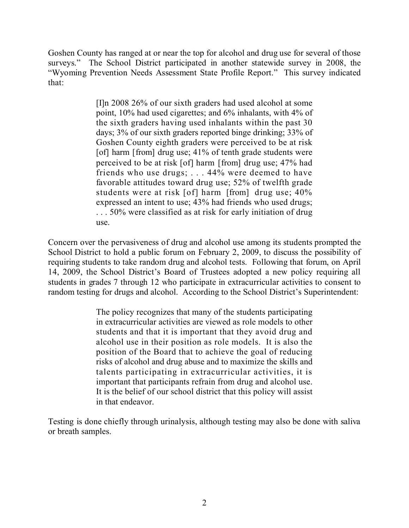Goshen County has ranged at or near the top for alcohol and drug use for several of those surveys." The School District participated in another statewide survey in 2008, the "Wyoming Prevention Needs Assessment State Profile Report." This survey indicated that:

> [I]n 2008 26% of our sixth graders had used alcohol at some point, 10% had used cigarettes; and 6% inhalants, with 4% of the sixth graders having used inhalants within the past 30 days; 3% of our sixth graders reported binge drinking; 33% of Goshen County eighth graders were perceived to be at risk [of] harm [from] drug use; 41% of tenth grade students were perceived to be at risk [of] harm [from] drug use; 47% had friends who use drugs; . . . 44% were deemed to have favorable attitudes toward drug use; 52% of twelfth grade students were at risk [of] harm [from] drug use; 40% expressed an intent to use; 43% had friends who used drugs; . . . 50% were classified as at risk for early initiation of drug use.

Concern over the pervasiveness of drug and alcohol use among its students prompted the School District to hold a public forum on February 2, 2009, to discuss the possibility of requiring students to take random drug and alcohol tests. Following that forum, on April 14, 2009, the School District's Board of Trustees adopted a new policy requiring all students in grades 7 through 12 who participate in extracurricular activities to consent to random testing for drugs and alcohol. According to the School District's Superintendent:

> The policy recognizes that many of the students participating in extracurricular activities are viewed as role models to other students and that it is important that they avoid drug and alcohol use in their position as role models. It is also the position of the Board that to achieve the goal of reducing risks of alcohol and drug abuse and to maximize the skills and talents participating in extracurricular activities, it is important that participants refrain from drug and alcohol use. It is the belief of our school district that this policy will assist in that endeavor.

Testing is done chiefly through urinalysis, although testing may also be done with saliva or breath samples.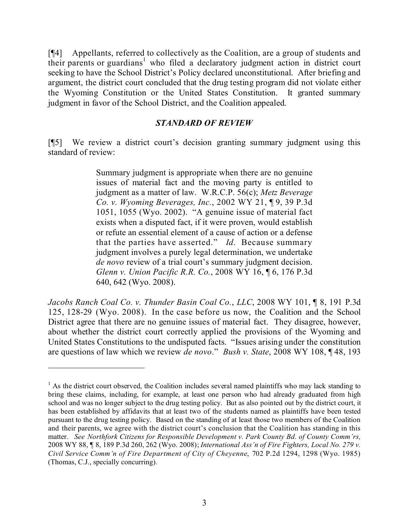[¶4] Appellants, referred to collectively as the Coalition, are a group of students and their parents or guardians<sup>1</sup> who filed a declaratory judgment action in district court seeking to have the School District's Policy declared unconstitutional. After briefing and argument, the district court concluded that the drug testing program did not violate either the Wyoming Constitution or the United States Constitution. It granted summary judgment in favor of the School District, and the Coalition appealed.

### *STANDARD OF REVIEW*

[¶5] We review a district court's decision granting summary judgment using this standard of review:

> Summary judgment is appropriate when there are no genuine issues of material fact and the moving party is entitled to judgment as a matter of law. W.R.C.P. 56(c); *Metz Beverage Co. v. Wyoming Beverages, Inc.*, 2002 WY 21, ¶ 9, 39 P.3d 1051, 1055 (Wyo. 2002). "A genuine issue of material fact exists when a disputed fact, if it were proven, would establish or refute an essential element of a cause of action or a defense that the parties have asserted." *Id*. Because summary judgment involves a purely legal determination, we undertake *de novo* review of a trial court's summary judgment decision. *Glenn v. Union Pacific R.R. Co.*, 2008 WY 16, ¶ 6, 176 P.3d 640, 642 (Wyo. 2008).

*Jacobs Ranch Coal Co. v. Thunder Basin Coal Co.*, *LLC*, 2008 WY 101, ¶ 8, 191 P.3d 125, 128-29 (Wyo. 2008). In the case before us now, the Coalition and the School District agree that there are no genuine issues of material fact. They disagree, however, about whether the district court correctly applied the provisions of the Wyoming and United States Constitutions to the undisputed facts. "Issues arising under the constitution are questions of law which we review *de novo*." *Bush v. State*, 2008 WY 108, ¶ 48, 193

<sup>&</sup>lt;sup>1</sup> As the district court observed, the Coalition includes several named plaintiffs who may lack standing to bring these claims, including, for example, at least one person who had already graduated from high school and was no longer subject to the drug testing policy. But as also pointed out by the district court, it has been established by affidavits that at least two of the students named as plaintiffs have been tested pursuant to the drug testing policy. Based on the standing of at least those two members of the Coalition and their parents, we agree with the district court's conclusion that the Coalition has standing in this matter. *See Northfork Citizens for Responsible Development v. Park County Bd. of County Comm'rs,* 2008 WY 88, ¶ 8, 189 P.3d 260, 262 (Wyo. 2008); *International Ass'n of Fire Fighters, Local No. 279 v. Civil Service Comm'n of Fire Department of City of Cheyenne*, 702 P.2d 1294, 1298 (Wyo. 1985) (Thomas, C.J., specially concurring).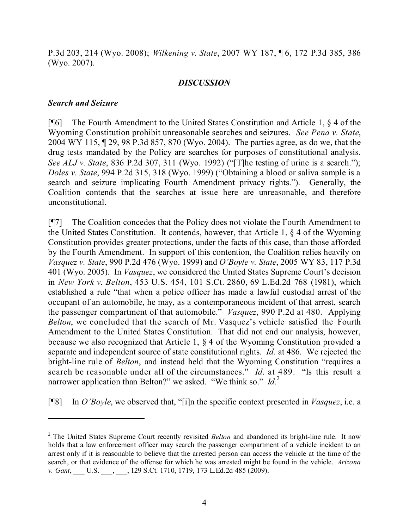P.3d 203, 214 (Wyo. 2008); *Wilkening v. State*, 2007 WY 187, ¶ 6, 172 P.3d 385, 386 (Wyo. 2007).

### *DISCUSSION*

### *Search and Seizure*

[¶6] The Fourth Amendment to the United States Constitution and Article 1, § 4 of the Wyoming Constitution prohibit unreasonable searches and seizures. *See Pena v. State*, 2004 WY 115, ¶ 29, 98 P.3d 857, 870 (Wyo. 2004). The parties agree, as do we, that the drug tests mandated by the Policy are searches for purposes of constitutional analysis. *See ALJ v. State*, 836 P.2d 307, 311 (Wyo. 1992) ("[T]he testing of urine is a search."); *Doles v. State*, 994 P.2d 315, 318 (Wyo. 1999) ("Obtaining a blood or saliva sample is a search and seizure implicating Fourth Amendment privacy rights."). Generally, the Coalition contends that the searches at issue here are unreasonable, and therefore unconstitutional.

[¶7] The Coalition concedes that the Policy does not violate the Fourth Amendment to the United States Constitution. It contends, however, that Article 1, § 4 of the Wyoming Constitution provides greater protections, under the facts of this case, than those afforded by the Fourth Amendment. In support of this contention, the Coalition relies heavily on *Vasquez v. State*, 990 P.2d 476 (Wyo. 1999) and *O'Boyle v. State*, 2005 WY 83, 117 P.3d 401 (Wyo. 2005). In *Vasquez*, we considered the United States Supreme Court's decision in *New York v. Belton*, 453 U.S. 454, 101 S.Ct. 2860, 69 L.Ed.2d 768 (1981), which established a rule "that when a police officer has made a lawful custodial arrest of the occupant of an automobile, he may, as a contemporaneous incident of that arrest, search the passenger compartment of that automobile." *Vasquez*, 990 P.2d at 480. Applying *Belton*, we concluded that the search of Mr. Vasquez's vehicle satisfied the Fourth Amendment to the United States Constitution. That did not end our analysis, however, because we also recognized that Article 1, § 4 of the Wyoming Constitution provided a separate and independent source of state constitutional rights. *Id*. at 486. We rejected the bright-line rule of *Belton*, and instead held that the Wyoming Constitution "requires a search be reasonable under all of the circumstances." *Id*. at 489. "Is this result a narrower application than Belton?" we asked. "We think so." *Id*.<sup>2</sup>

[¶8] In *O'Boyle*, we observed that, "[i]n the specific context presented in *Vasquez*, i.e. a

<sup>2</sup> The United States Supreme Court recently revisited *Belton* and abandoned its bright-line rule. It now holds that a law enforcement officer may search the passenger compartment of a vehicle incident to an arrest only if it is reasonable to believe that the arrested person can access the vehicle at the time of the search, or that evidence of the offense for which he was arrested might be found in the vehicle. *Arizona v. Gant*, \_\_\_ U.S. \_\_\_, \_\_\_, 129 S.Ct. 1710, 1719, 173 L.Ed.2d 485 (2009).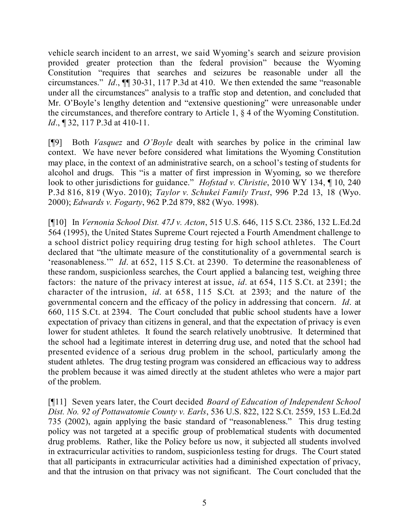vehicle search incident to an arrest, we said Wyoming's search and seizure provision provided greater protection than the federal provision" because the Wyoming Constitution "requires that searches and seizures be reasonable under all the circumstances." *Id*., ¶¶ 30-31, 117 P.3d at 410. We then extended the same "reasonable under all the circumstances" analysis to a traffic stop and detention, and concluded that Mr. O'Boyle's lengthy detention and "extensive questioning" were unreasonable under the circumstances, and therefore contrary to Article 1, § 4 of the Wyoming Constitution. *Id.*, **[32, 117 P.3d at 410-11.** 

[¶9] Both *Vasquez* and *O'Boyle* dealt with searches by police in the criminal law context. We have never before considered what limitations the Wyoming Constitution may place, in the context of an administrative search, on a school's testing of students for alcohol and drugs. This "is a matter of first impression in Wyoming, so we therefore look to other jurisdictions for guidance." *Hofstad v. Christie*, 2010 WY 134, ¶ 10, 240 P.3d 816, 819 (Wyo. 2010); *Taylor v. Schukei Family Trust*, 996 P.2d 13, 18 (Wyo. 2000); *Edwards v. Fogarty*, 962 P.2d 879, 882 (Wyo. 1998).

[¶10] In *Vernonia School Dist. 47J v. Acton*, 515 U.S. 646, 115 S.Ct. 2386, 132 L.Ed.2d 564 (1995), the United States Supreme Court rejected a Fourth Amendment challenge to a school district policy requiring drug testing for high school athletes. The Court declared that "the ultimate measure of the constitutionality of a governmental search is 'reasonableness.'" *Id*. at 652, 115 S.Ct. at 2390. To determine the reasonableness of these random, suspicionless searches, the Court applied a balancing test, weighing three factors: the nature of the privacy interest at issue, *id*. at 654, 115 S.Ct. at 2391; the character of the intrusion, *id*. at 658, 115 S.Ct. at 2393; and the nature of the governmental concern and the efficacy of the policy in addressing that concern. *Id*. at 660, 115 S.Ct. at 2394. The Court concluded that public school students have a lower expectation of privacy than citizens in general, and that the expectation of privacy is even lower for student athletes. It found the search relatively unobtrusive. It determined that the school had a legitimate interest in deterring drug use, and noted that the school had presented evidence of a serious drug problem in the school, particularly among the student athletes. The drug testing program was considered an efficacious way to address the problem because it was aimed directly at the student athletes who were a major part of the problem.

[¶11] Seven years later, the Court decided *Board of Education of Independent School Dist. No. 92 of Pottawatomie County v. Earls*, 536 U.S. 822, 122 S.Ct. 2559, 153 L.Ed.2d 735 (2002), again applying the basic standard of "reasonableness." This drug testing policy was not targeted at a specific group of problematical students with documented drug problems. Rather, like the Policy before us now, it subjected all students involved in extracurricular activities to random, suspicionless testing for drugs. The Court stated that all participants in extracurricular activities had a diminished expectation of privacy, and that the intrusion on that privacy was not significant. The Court concluded that the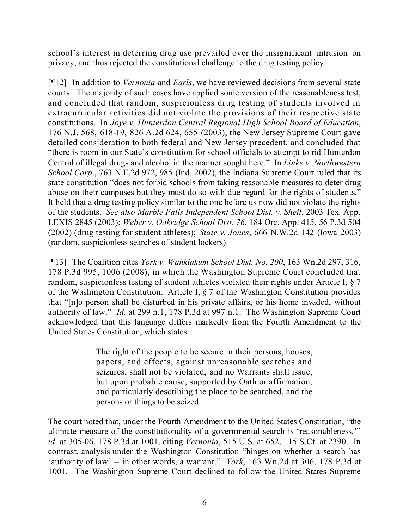school's interest in deterring drug use prevailed over the insignificant intrusion on privacy, and thus rejected the constitutional challenge to the drug testing policy.

[¶12] In addition to *Vernonia* and *Earls*, we have reviewed decisions from several state courts. The majority of such cases have applied some version of the reasonableness test, and concluded that random, suspicionless drug testing of students involved in extracurricular activities did not violate the provisions of their respective state constitutions. In *Joye v. Hunterdon Central Regional High School Board of Education*, 176 N.J. 568, 618-19, 826 A.2d 624, 655 (2003), the New Jersey Supreme Court gave detailed consideration to both federal and New Jersey precedent, and concluded that "there is room in our State's constitution for school officials to attempt to rid Hunterdon Central of illegal drugs and alcohol in the manner sought here." In *Linke v. Northwestern School Corp*., 763 N.E.2d 972, 985 (Ind. 2002), the Indiana Supreme Court ruled that its state constitution "does not forbid schools from taking reasonable measures to deter drug abuse on their campuses but they must do so with due regard for the rights of students." It held that a drug testing policy similar to the one before us now did not violate the rights of the students. *See also Marble Falls Independent School Dist. v. Shell*, 2003 Tex. App. LEXIS 2845 (2003); *Weber v. Oakridge School Dist. 76*, 184 Ore. App. 415, 56 P.3d 504 (2002) (drug testing for student athletes); *State v. Jones*, 666 N.W.2d 142 (Iowa 2003) (random, suspicionless searches of student lockers).

[¶13] The Coalition cites *York v. Wahkiakum School Dist. No. 200*, 163 Wn.2d 297, 316, 178 P.3d 995, 1006 (2008), in which the Washington Supreme Court concluded that random, suspicionless testing of student athletes violated their rights under Article I, § 7 of the Washington Constitution. Article I, § 7 of the Washington Constitution provides that "[n]o person shall be disturbed in his private affairs, or his home invaded, without authority of law." *Id.* at 299 n.1, 178 P.3d at 997 n.1. The Washington Supreme Court acknowledged that this language differs markedly from the Fourth Amendment to the United States Constitution, which states:

> The right of the people to be secure in their persons, houses, papers, and effects, against unreasonable searches and seizures, shall not be violated, and no Warrants shall issue, but upon probable cause, supported by Oath or affirmation, and particularly describing the place to be searched, and the persons or things to be seized.

The court noted that, under the Fourth Amendment to the United States Constitution, "the ultimate measure of the constitutionality of a governmental search is 'reasonableness,'" *id*. at 305-06, 178 P.3d at 1001, citing *Vernonia*, 515 U.S. at 652, 115 S.Ct. at 2390. In contrast, analysis under the Washington Constitution "hinges on whether a search has 'authority of law' – in other words, a warrant." *York*, 163 Wn.2d at 306, 178 P.3d at 1001. The Washington Supreme Court declined to follow the United States Supreme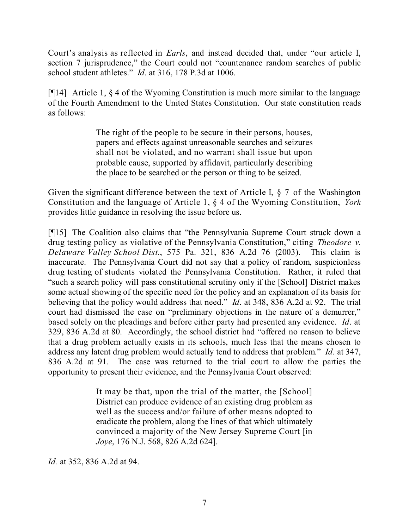Court's analysis as reflected in *Earls*, and instead decided that, under "our article I, section 7 jurisprudence," the Court could not "countenance random searches of public school student athletes." *Id*. at 316, 178 P.3d at 1006.

[¶14] Article 1, § 4 of the Wyoming Constitution is much more similar to the language of the Fourth Amendment to the United States Constitution. Our state constitution reads as follows:

> The right of the people to be secure in their persons, houses, papers and effects against unreasonable searches and seizures shall not be violated, and no warrant shall issue but upon probable cause, supported by affidavit, particularly describing the place to be searched or the person or thing to be seized.

Given the significant difference between the text of Article I, § 7 of the Washington Constitution and the language of Article 1, § 4 of the Wyoming Constitution, *York* provides little guidance in resolving the issue before us.

[¶15] The Coalition also claims that "the Pennsylvania Supreme Court struck down a drug testing policy as violative of the Pennsylvania Constitution," citing *Theodore v. Delaware Valley School Dist.*, 575 Pa. 321, 836 A.2d 76 (2003). This claim is inaccurate. The Pennsylvania Court did not say that a policy of random, suspicionless drug testing of students violated the Pennsylvania Constitution. Rather, it ruled that "such a search policy will pass constitutional scrutiny only if the [School] District makes some actual showing of the specific need for the policy and an explanation of its basis for believing that the policy would address that need." *Id*. at 348, 836 A.2d at 92. The trial court had dismissed the case on "preliminary objections in the nature of a demurrer," based solely on the pleadings and before either party had presented any evidence. *Id*. at 329, 836 A.2d at 80. Accordingly, the school district had "offered no reason to believe that a drug problem actually exists in its schools, much less that the means chosen to address any latent drug problem would actually tend to address that problem." *Id*. at 347, 836 A.2d at 91. The case was returned to the trial court to allow the parties the opportunity to present their evidence, and the Pennsylvania Court observed:

> It may be that, upon the trial of the matter, the [School] District can produce evidence of an existing drug problem as well as the success and/or failure of other means adopted to eradicate the problem, along the lines of that which ultimately convinced a majority of the New Jersey Supreme Court [in *Joye*, 176 N.J. 568, 826 A.2d 624].

*Id.* at 352, 836 A.2d at 94.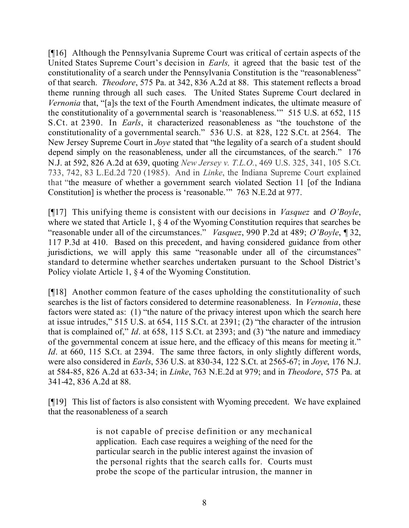[¶16] Although the Pennsylvania Supreme Court was critical of certain aspects of the United States Supreme Court's decision in *Earls,* it agreed that the basic test of the constitutionality of a search under the Pennsylvania Constitution is the "reasonableness" of that search. *Theodore*, 575 Pa. at 342, 836 A.2d at 88. This statement reflects a broad theme running through all such cases. The United States Supreme Court declared in *Vernonia* that, "[a]s the text of the Fourth Amendment indicates, the ultimate measure of the constitutionality of a governmental search is 'reasonableness.'" 515 U.S. at 652, 115 S.Ct. at 2390. In *Earls*, it characterized reasonableness as "the touchstone of the constitutionality of a governmental search." 536 U.S. at 828, 122 S.Ct. at 2564. The New Jersey Supreme Court in *Joye* stated that "the legality of a search of a student should depend simply on the reasonableness, under all the circumstances, of the search." 176 N.J. at 592, 826 A.2d at 639, quoting *New Jersey v. T.L.O.*, 469 U.S. 325, 341, 105 S.Ct. 733, 742, 83 L.Ed.2d 720 (1985). And in *Linke*, the Indiana Supreme Court explained that "the measure of whether a government search violated Section 11 [of the Indiana Constitution] is whether the process is 'reasonable.'" 763 N.E.2d at 977.

[¶17] This unifying theme is consistent with our decisions in *Vasquez* and *O'Boyle*, where we stated that Article 1, § 4 of the Wyoming Constitution requires that searches be "reasonable under all of the circumstances." *Vasquez*, 990 P.2d at 489; *O'Boyle*, ¶ 32, 117 P.3d at 410. Based on this precedent, and having considered guidance from other jurisdictions, we will apply this same "reasonable under all of the circumstances" standard to determine whether searches undertaken pursuant to the School District's Policy violate Article 1, § 4 of the Wyoming Constitution.

[¶18] Another common feature of the cases upholding the constitutionality of such searches is the list of factors considered to determine reasonableness. In *Vernonia*, these factors were stated as: (1) "the nature of the privacy interest upon which the search here at issue intrudes," 515 U.S. at 654, 115 S.Ct. at 2391; (2) "the character of the intrusion that is complained of," *Id*. at 658, 115 S.Ct. at 2393; and (3) "the nature and immediacy of the governmental concern at issue here, and the efficacy of this means for meeting it." *Id.* at 660, 115 S.Ct. at 2394. The same three factors, in only slightly different words, were also considered in *Earls*, 536 U.S. at 830-34, 122 S.Ct. at 2565-67; in *Joye*, 176 N.J. at 584-85, 826 A.2d at 633-34; in *Linke*, 763 N.E.2d at 979; and in *Theodore*, 575 Pa. at 341-42, 836 A.2d at 88.

[¶19] This list of factors is also consistent with Wyoming precedent. We have explained that the reasonableness of a search

> is not capable of precise definition or any mechanical application. Each case requires a weighing of the need for the particular search in the public interest against the invasion of the personal rights that the search calls for. Courts must probe the scope of the particular intrusion, the manner in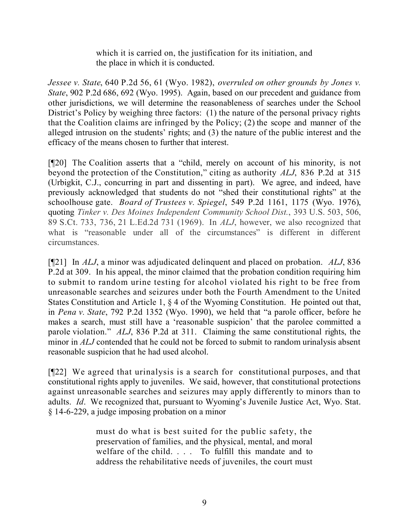which it is carried on, the justification for its initiation, and the place in which it is conducted.

*Jessee v. State*, 640 P.2d 56, 61 (Wyo. 1982), *overruled on other grounds by Jones v. State*, 902 P.2d 686, 692 (Wyo. 1995). Again, based on our precedent and guidance from other jurisdictions, we will determine the reasonableness of searches under the School District's Policy by weighing three factors: (1) the nature of the personal privacy rights that the Coalition claims are infringed by the Policy; (2) the scope and manner of the alleged intrusion on the students' rights; and (3) the nature of the public interest and the efficacy of the means chosen to further that interest.

[¶20] The Coalition asserts that a "child, merely on account of his minority, is not beyond the protection of the Constitution," citing as authority *ALJ*, 836 P.2d at 315 (Urbigkit, C.J., concurring in part and dissenting in part). We agree, and indeed, have previously acknowledged that students do not "shed their constitutional rights" at the schoolhouse gate. *Board of Trustees v. Spiegel*, 549 P.2d 1161, 1175 (Wyo. 1976), quoting *Tinker v. Des Moines Independent Community School Dist.*, 393 U.S. 503, 506, 89 S.Ct. 733, 736, 21 L.Ed.2d 731 (1969). In *ALJ*, however, we also recognized that what is "reasonable under all of the circumstances" is different in different circumstances.

[¶21] In *ALJ*, a minor was adjudicated delinquent and placed on probation. *ALJ*, 836 P.2d at 309. In his appeal, the minor claimed that the probation condition requiring him to submit to random urine testing for alcohol violated his right to be free from unreasonable searches and seizures under both the Fourth Amendment to the United States Constitution and Article 1, § 4 of the Wyoming Constitution. He pointed out that, in *Pena v. State*, 792 P.2d 1352 (Wyo. 1990), we held that "a parole officer, before he makes a search, must still have a 'reasonable suspicion' that the parolee committed a parole violation." *ALJ*, 836 P.2d at 311. Claiming the same constitutional rights, the minor in *ALJ* contended that he could not be forced to submit to random urinalysis absent reasonable suspicion that he had used alcohol.

[¶22] We agreed that urinalysis is a search for constitutional purposes, and that constitutional rights apply to juveniles. We said, however, that constitutional protections against unreasonable searches and seizures may apply differently to minors than to adults. *Id*. We recognized that, pursuant to Wyoming's Juvenile Justice Act, Wyo. Stat. § 14-6-229, a judge imposing probation on a minor

> must do what is best suited for the public safety, the preservation of families, and the physical, mental, and moral welfare of the child. . . . To fulfill this mandate and to address the rehabilitative needs of juveniles, the court must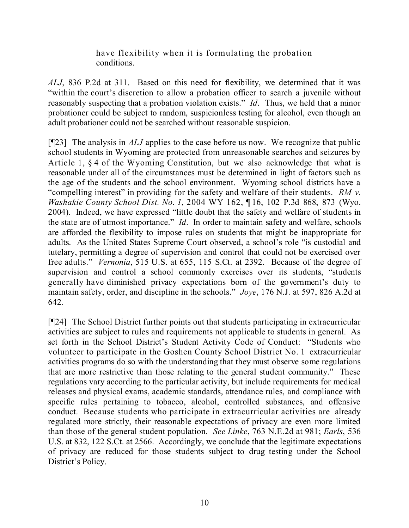### have flexibility when it is formulating the probation conditions.

*ALJ*, 836 P.2d at 311. Based on this need for flexibility, we determined that it was "within the court's discretion to allow a probation officer to search a juvenile without reasonably suspecting that a probation violation exists." *Id*. Thus, we held that a minor probationer could be subject to random, suspicionless testing for alcohol, even though an adult probationer could not be searched without reasonable suspicion.

[¶23] The analysis in *ALJ* applies to the case before us now. We recognize that public school students in Wyoming are protected from unreasonable searches and seizures by Article 1, § 4 of the Wyoming Constitution, but we also acknowledge that what is reasonable under all of the circumstances must be determined in light of factors such as the age of the students and the school environment. Wyoming school districts have a "compelling interest" in providing for the safety and welfare of their students. *RM v. Washakie County School Dist. No. 1*, 2004 WY 162, ¶ 16, 102 P.3d 868, 873 (Wyo. 2004). Indeed, we have expressed "little doubt that the safety and welfare of students in the state are of utmost importance." *Id*. In order to maintain safety and welfare, schools are afforded the flexibility to impose rules on students that might be inappropriate for adults. As the United States Supreme Court observed, a school's role "is custodial and tutelary, permitting a degree of supervision and control that could not be exercised over free adults." *Vernonia*, 515 U.S. at 655, 115 S.Ct. at 2392. Because of the degree of supervision and control a school commonly exercises over its students, "students generally have diminished privacy expectations born of the government's duty to maintain safety, order, and discipline in the schools." *Joye*, 176 N.J. at 597, 826 A.2d at 642.

[¶24] The School District further points out that students participating in extracurricular activities are subject to rules and requirements not applicable to students in general. As set forth in the School District's Student Activity Code of Conduct: "Students who volunteer to participate in the Goshen County School District No. 1 extracurricular activities programs do so with the understanding that they must observe some regulations that are more restrictive than those relating to the general student community." These regulations vary according to the particular activity, but include requirements for medical releases and physical exams, academic standards, attendance rules, and compliance with specific rules pertaining to tobacco, alcohol, controlled substances, and offensive conduct. Because students who participate in extracurricular activities are already regulated more strictly, their reasonable expectations of privacy are even more limited than those of the general student population. *See Linke*, 763 N.E.2d at 981; *Earls*, 536 U.S. at 832, 122 S.Ct. at 2566. Accordingly, we conclude that the legitimate expectations of privacy are reduced for those students subject to drug testing under the School District's Policy.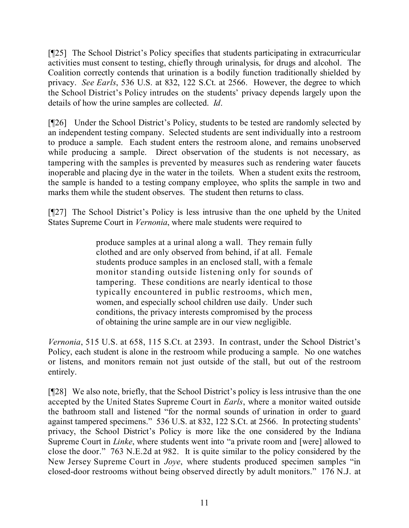[¶25] The School District's Policy specifies that students participating in extracurricular activities must consent to testing, chiefly through urinalysis, for drugs and alcohol. The Coalition correctly contends that urination is a bodily function traditionally shielded by privacy. *See Earls*, 536 U.S. at 832, 122 S.Ct. at 2566. However, the degree to which the School District's Policy intrudes on the students' privacy depends largely upon the details of how the urine samples are collected. *Id*.

[¶26] Under the School District's Policy, students to be tested are randomly selected by an independent testing company. Selected students are sent individually into a restroom to produce a sample. Each student enters the restroom alone, and remains unobserved while producing a sample. Direct observation of the students is not necessary, as tampering with the samples is prevented by measures such as rendering water faucets inoperable and placing dye in the water in the toilets. When a student exits the restroom, the sample is handed to a testing company employee, who splits the sample in two and marks them while the student observes. The student then returns to class.

[¶27] The School District's Policy is less intrusive than the one upheld by the United States Supreme Court in *Vernonia*, where male students were required to

> produce samples at a urinal along a wall. They remain fully clothed and are only observed from behind, if at all. Female students produce samples in an enclosed stall, with a female monitor standing outside listening only for sounds of tampering. These conditions are nearly identical to those typically encountered in public restrooms, which men, women, and especially school children use daily. Under such conditions, the privacy interests compromised by the process of obtaining the urine sample are in our view negligible.

*Vernonia*, 515 U.S. at 658, 115 S.Ct. at 2393. In contrast, under the School District's Policy, each student is alone in the restroom while producing a sample. No one watches or listens, and monitors remain not just outside of the stall, but out of the restroom entirely.

[¶28] We also note, briefly, that the School District's policy is less intrusive than the one accepted by the United States Supreme Court in *Earls*, where a monitor waited outside the bathroom stall and listened "for the normal sounds of urination in order to guard against tampered specimens." 536 U.S. at 832, 122 S.Ct. at 2566. In protecting students' privacy, the School District's Policy is more like the one considered by the Indiana Supreme Court in *Linke*, where students went into "a private room and [were] allowed to close the door." 763 N.E.2d at 982. It is quite similar to the policy considered by the New Jersey Supreme Court in *Joye*, where students produced specimen samples "in closed-door restrooms without being observed directly by adult monitors." 176 N.J. at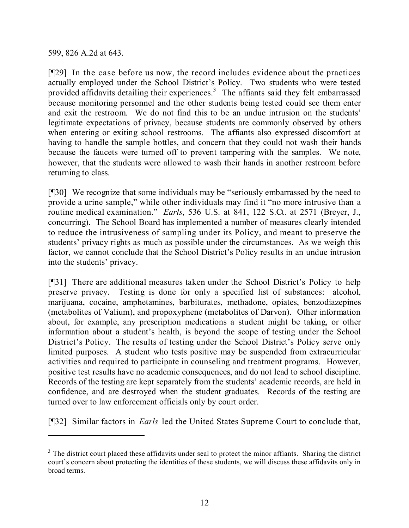599, 826 A.2d at 643.

[¶29] In the case before us now, the record includes evidence about the practices actually employed under the School District's Policy. Two students who were tested provided affidavits detailing their experiences.<sup>3</sup> The affiants said they felt embarrassed because monitoring personnel and the other students being tested could see them enter and exit the restroom. We do not find this to be an undue intrusion on the students' legitimate expectations of privacy, because students are commonly observed by others when entering or exiting school restrooms. The affiants also expressed discomfort at having to handle the sample bottles, and concern that they could not wash their hands because the faucets were turned off to prevent tampering with the samples. We note, however, that the students were allowed to wash their hands in another restroom before returning to class.

[¶30] We recognize that some individuals may be "seriously embarrassed by the need to provide a urine sample," while other individuals may find it "no more intrusive than a routine medical examination." *Earls*, 536 U.S. at 841, 122 S.Ct. at 2571 (Breyer, J., concurring). The School Board has implemented a number of measures clearly intended to reduce the intrusiveness of sampling under its Policy, and meant to preserve the students' privacy rights as much as possible under the circumstances. As we weigh this factor, we cannot conclude that the School District's Policy results in an undue intrusion into the students' privacy.

[¶31] There are additional measures taken under the School District's Policy to help preserve privacy. Testing is done for only a specified list of substances: alcohol, marijuana, cocaine, amphetamines, barbiturates, methadone, opiates, benzodiazepines (metabolites of Valium), and propoxyphene (metabolites of Darvon). Other information about, for example, any prescription medications a student might be taking, or other information about a student's health, is beyond the scope of testing under the School District's Policy. The results of testing under the School District's Policy serve only limited purposes. A student who tests positive may be suspended from extracurricular activities and required to participate in counseling and treatment programs. However, positive test results have no academic consequences, and do not lead to school discipline. Records of the testing are kept separately from the students' academic records, are held in confidence, and are destroyed when the student graduates. Records of the testing are turned over to law enforcement officials only by court order.

[¶32] Similar factors in *Earls* led the United States Supreme Court to conclude that,

 $3$  The district court placed these affidavits under seal to protect the minor affiants. Sharing the district court's concern about protecting the identities of these students, we will discuss these affidavits only in broad terms.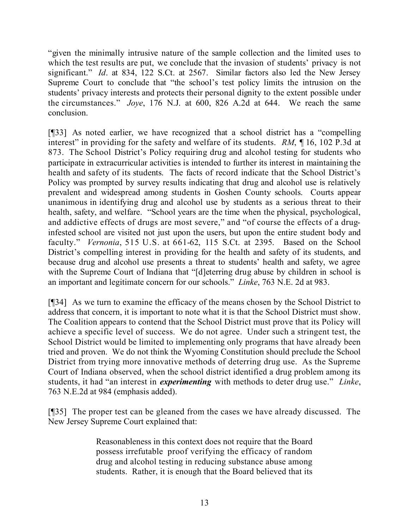"given the minimally intrusive nature of the sample collection and the limited uses to which the test results are put, we conclude that the invasion of students' privacy is not significant." *Id*. at 834, 122 S.Ct. at 2567. Similar factors also led the New Jersey Supreme Court to conclude that "the school's test policy limits the intrusion on the students' privacy interests and protects their personal dignity to the extent possible under the circumstances." *Joye*, 176 N.J. at 600, 826 A.2d at 644. We reach the same conclusion.

[¶33] As noted earlier, we have recognized that a school district has a "compelling interest" in providing for the safety and welfare of its students. *RM*, ¶ 16, 102 P.3d at 873. The School District's Policy requiring drug and alcohol testing for students who participate in extracurricular activities is intended to further its interest in maintaining the health and safety of its students. The facts of record indicate that the School District's Policy was prompted by survey results indicating that drug and alcohol use is relatively prevalent and widespread among students in Goshen County schools. Courts appear unanimous in identifying drug and alcohol use by students as a serious threat to their health, safety, and welfare. "School years are the time when the physical, psychological, and addictive effects of drugs are most severe," and "of course the effects of a druginfested school are visited not just upon the users, but upon the entire student body and faculty." *Vernonia*, 515 U.S. at 661-62, 115 S.Ct. at 2395. Based on the School District's compelling interest in providing for the health and safety of its students, and because drug and alcohol use presents a threat to students' health and safety, we agree with the Supreme Court of Indiana that "[d]eterring drug abuse by children in school is an important and legitimate concern for our schools." *Linke*, 763 N.E. 2d at 983.

[¶34] As we turn to examine the efficacy of the means chosen by the School District to address that concern, it is important to note what it is that the School District must show. The Coalition appears to contend that the School District must prove that its Policy will achieve a specific level of success. We do not agree. Under such a stringent test, the School District would be limited to implementing only programs that have already been tried and proven. We do not think the Wyoming Constitution should preclude the School District from trying more innovative methods of deterring drug use. As the Supreme Court of Indiana observed, when the school district identified a drug problem among its students, it had "an interest in *experimenting* with methods to deter drug use." *Linke*, 763 N.E.2d at 984 (emphasis added).

[¶35] The proper test can be gleaned from the cases we have already discussed. The New Jersey Supreme Court explained that:

> Reasonableness in this context does not require that the Board possess irrefutable proof verifying the efficacy of random drug and alcohol testing in reducing substance abuse among students. Rather, it is enough that the Board believed that its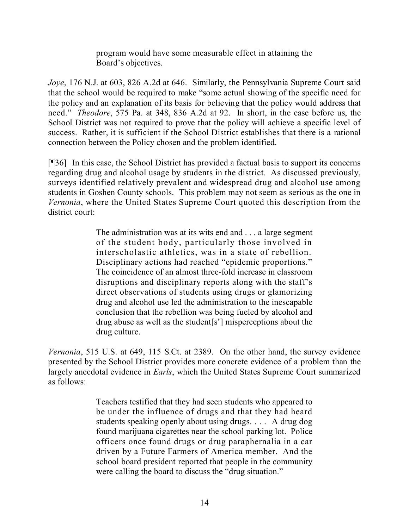program would have some measurable effect in attaining the Board's objectives.

*Joye*, 176 N.J. at 603, 826 A.2d at 646. Similarly, the Pennsylvania Supreme Court said that the school would be required to make "some actual showing of the specific need for the policy and an explanation of its basis for believing that the policy would address that need." *Theodore*, 575 Pa. at 348, 836 A.2d at 92. In short, in the case before us, the School District was not required to prove that the policy will achieve a specific level of success. Rather, it is sufficient if the School District establishes that there is a rational connection between the Policy chosen and the problem identified.

[¶36] In this case, the School District has provided a factual basis to support its concerns regarding drug and alcohol usage by students in the district. As discussed previously, surveys identified relatively prevalent and widespread drug and alcohol use among students in Goshen County schools. This problem may not seem as serious as the one in *Vernonia*, where the United States Supreme Court quoted this description from the district court:

> The administration was at its wits end and . . . a large segment of the student body, particularly those involved in interscholastic athletics, was in a state of rebellion. Disciplinary actions had reached "epidemic proportions." The coincidence of an almost three-fold increase in classroom disruptions and disciplinary reports along with the staff's direct observations of students using drugs or glamorizing drug and alcohol use led the administration to the inescapable conclusion that the rebellion was being fueled by alcohol and drug abuse as well as the student[s'] misperceptions about the drug culture.

*Vernonia*, 515 U.S. at 649, 115 S.Ct. at 2389. On the other hand, the survey evidence presented by the School District provides more concrete evidence of a problem than the largely anecdotal evidence in *Earls*, which the United States Supreme Court summarized as follows:

> Teachers testified that they had seen students who appeared to be under the influence of drugs and that they had heard students speaking openly about using drugs. . . . A drug dog found marijuana cigarettes near the school parking lot. Police officers once found drugs or drug paraphernalia in a car driven by a Future Farmers of America member. And the school board president reported that people in the community were calling the board to discuss the "drug situation."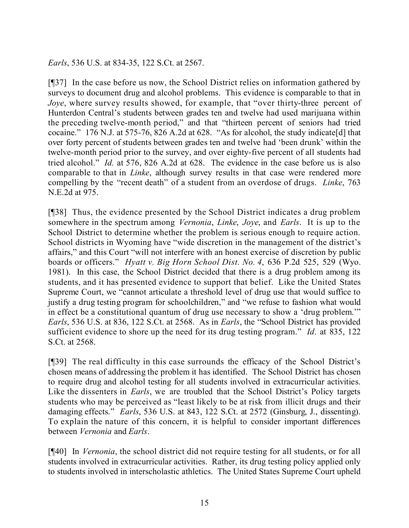*Earls*, 536 U.S. at 834-35, 122 S.Ct. at 2567.

[¶37] In the case before us now, the School District relies on information gathered by surveys to document drug and alcohol problems. This evidence is comparable to that in *Joye*, where survey results showed, for example, that "over thirty-three percent of Hunterdon Central's students between grades ten and twelve had used marijuana within the preceding twelve-month period," and that "thirteen percent of seniors had tried cocaine." 176 N.J. at 575-76, 826 A.2d at 628. "As for alcohol, the study indicate[d] that over forty percent of students between grades ten and twelve had 'been drunk' within the twelve-month period prior to the survey, and over eighty-five percent of all students had tried alcohol." *Id.* at 576, 826 A.2d at 628. The evidence in the case before us is also comparable to that in *Linke*, although survey results in that case were rendered more compelling by the "recent death" of a student from an overdose of drugs. *Linke*, 763 N.E.2d at 975.

[¶38] Thus, the evidence presented by the School District indicates a drug problem somewhere in the spectrum among *Vernonia*, *Linke*, *Joye*, and *Earls*. It is up to the School District to determine whether the problem is serious enough to require action. School districts in Wyoming have "wide discretion in the management of the district's affairs," and this Court "will not interfere with an honest exercise of discretion by public boards or officers." *Hyatt v. Big Horn School Dist. No. 4*, 636 P.2d 525, 529 (Wyo. 1981). In this case, the School District decided that there is a drug problem among its students, and it has presented evidence to support that belief. Like the United States Supreme Court, we "cannot articulate a threshold level of drug use that would suffice to justify a drug testing program for schoolchildren," and "we refuse to fashion what would in effect be a constitutional quantum of drug use necessary to show a 'drug problem.'" *Earls*, 536 U.S. at 836, 122 S.Ct. at 2568. As in *Earls*, the "School District has provided sufficient evidence to shore up the need for its drug testing program." *Id*. at 835, 122 S.Ct. at 2568.

[¶39] The real difficulty in this case surrounds the efficacy of the School District's chosen means of addressing the problem it has identified. The School District has chosen to require drug and alcohol testing for all students involved in extracurricular activities. Like the dissenters in *Earls*, we are troubled that the School District's Policy targets students who may be perceived as "least likely to be at risk from illicit drugs and their damaging effects." *Earls*, 536 U.S. at 843, 122 S.Ct. at 2572 (Ginsburg, J., dissenting). To explain the nature of this concern, it is helpful to consider important differences between *Vernonia* and *Earls*.

[¶40] In *Vernonia*, the school district did not require testing for all students, or for all students involved in extracurricular activities. Rather, its drug testing policy applied only to students involved in interscholastic athletics. The United States Supreme Court upheld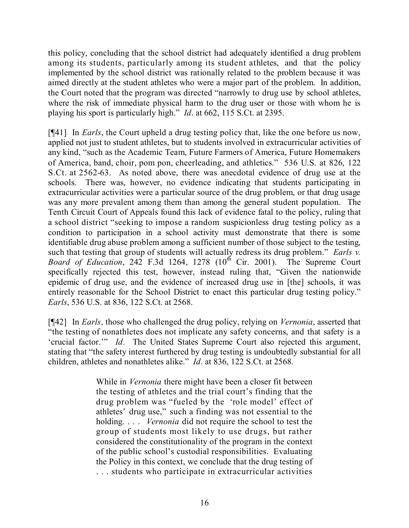this policy, concluding that the school district had adequately identified a drug problem among its students, particularly among its student athletes, and that the policy implemented by the school district was rationally related to the problem because it was aimed directly at the student athletes who were a major part of the problem. In addition, the Court noted that the program was directed "narrowly to drug use by school athletes, where the risk of immediate physical harm to the drug user or those with whom he is playing his sport is particularly high." *Id*. at 662, 115 S.Ct. at 2395.

[¶41] In *Earls*, the Court upheld a drug testing policy that, like the one before us now, applied not just to student athletes, but to students involved in extracurricular activities of any kind, "such as the Academic Team, Future Farmers of America, Future Homemakers of America, band, choir, pom pon, cheerleading, and athletics." 536 U.S. at 826, 122 S.Ct. at 2562-63. As noted above, there was anecdotal evidence of drug use at the schools. There was, however, no evidence indicating that students participating in extracurricular activities were a particular source of the drug problem, or that drug usage was any more prevalent among them than among the general student population. The Tenth Circuit Court of Appeals found this lack of evidence fatal to the policy, ruling that a school district "seeking to impose a random suspicionless drug testing policy as a condition to participation in a school activity must demonstrate that there is some identifiable drug abuse problem among a sufficient number of those subject to the testing, such that testing that group of students will actually redress its drug problem." *Earls v.* Board of *Education*, 242 F.3d 1264, 1278 (10<sup>th</sup> Cir. 2001). The Supreme Court specifically rejected this test, however, instead ruling that, "Given the nationwide epidemic of drug use, and the evidence of increased drug use in [the] schools, it was entirely reasonable for the School District to enact this particular drug testing policy." *Earls*, 536 U.S. at 836, 122 S.Ct. at 2568.

[¶42] In *Earls*, those who challenged the drug policy, relying on *Vernonia*, asserted that "the testing of nonathletes does not implicate any safety concerns, and that safety is a 'crucial factor.'" *Id*. The United States Supreme Court also rejected this argument, stating that "the safety interest furthered by drug testing is undoubtedly substantial for all children, athletes and nonathletes alike." *Id*. at 836, 122 S.Ct. at 2568.

> While in *Vernonia* there might have been a closer fit between the testing of athletes and the trial court's finding that the drug problem was "fueled by the 'role model' effect of athletes' drug use," such a finding was not essential to the holding. . . . *Vernonia* did not require the school to test the group of students most likely to use drugs, but rather considered the constitutionality of the program in the context of the public school's custodial responsibilities. Evaluating the Policy in this context, we conclude that the drug testing of . . . students who participate in extracurricular activities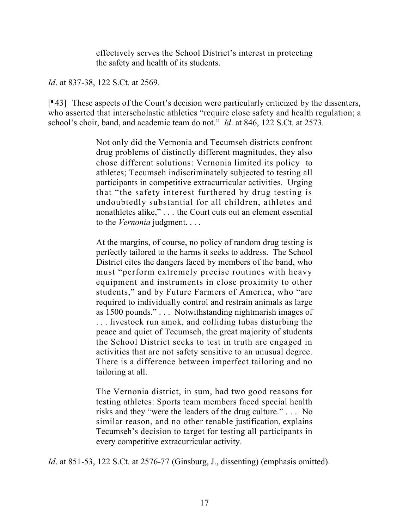effectively serves the School District's interest in protecting the safety and health of its students.

*Id.* at 837-38, 122 S.Ct. at 2569.

[¶43] These aspects of the Court's decision were particularly criticized by the dissenters, who asserted that interscholastic athletics "require close safety and health regulation; a school's choir, band, and academic team do not." *Id*. at 846, 122 S.Ct. at 2573.

> Not only did the Vernonia and Tecumseh districts confront drug problems of distinctly different magnitudes, they also chose different solutions: Vernonia limited its policy to athletes; Tecumseh indiscriminately subjected to testing all participants in competitive extracurricular activities. Urging that "the safety interest furthered by drug testing is undoubtedly substantial for all children, athletes and nonathletes alike," . . . the Court cuts out an element essential to the *Vernonia* judgment. . . .

> At the margins, of course, no policy of random drug testing is perfectly tailored to the harms it seeks to address. The School District cites the dangers faced by members of the band, who must "perform extremely precise routines with heavy equipment and instruments in close proximity to other students," and by Future Farmers of America, who "are required to individually control and restrain animals as large as 1500 pounds." . . . Notwithstanding nightmarish images of . . . livestock run amok, and colliding tubas disturbing the peace and quiet of Tecumseh, the great majority of students the School District seeks to test in truth are engaged in activities that are not safety sensitive to an unusual degree. There is a difference between imperfect tailoring and no tailoring at all.

> The Vernonia district, in sum, had two good reasons for testing athletes: Sports team members faced special health risks and they "were the leaders of the drug culture." . . . No similar reason, and no other tenable justification, explains Tecumseh's decision to target for testing all participants in every competitive extracurricular activity.

*Id*. at 851-53, 122 S.Ct. at 2576-77 (Ginsburg, J., dissenting) (emphasis omitted).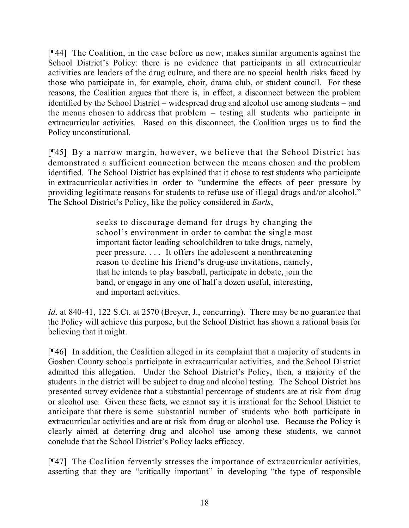[¶44] The Coalition, in the case before us now, makes similar arguments against the School District's Policy: there is no evidence that participants in all extracurricular activities are leaders of the drug culture, and there are no special health risks faced by those who participate in, for example, choir, drama club, or student council. For these reasons, the Coalition argues that there is, in effect, a disconnect between the problem identified by the School District – widespread drug and alcohol use among students – and the means chosen to address that problem – testing all students who participate in extracurricular activities. Based on this disconnect, the Coalition urges us to find the Policy unconstitutional.

[¶45] By a narrow margin, however, we believe that the School District has demonstrated a sufficient connection between the means chosen and the problem identified. The School District has explained that it chose to test students who participate in extracurricular activities in order to "undermine the effects of peer pressure by providing legitimate reasons for students to refuse use of illegal drugs and/or alcohol." The School District's Policy, like the policy considered in *Earls*,

> seeks to discourage demand for drugs by changing the school's environment in order to combat the single most important factor leading schoolchildren to take drugs, namely, peer pressure. . . . It offers the adolescent a nonthreatening reason to decline his friend's drug-use invitations, namely, that he intends to play baseball, participate in debate, join the band, or engage in any one of half a dozen useful, interesting, and important activities.

*Id.* at 840-41, 122 S.Ct. at 2570 (Breyer, J., concurring). There may be no guarantee that the Policy will achieve this purpose, but the School District has shown a rational basis for believing that it might.

[¶46] In addition, the Coalition alleged in its complaint that a majority of students in Goshen County schools participate in extracurricular activities, and the School District admitted this allegation. Under the School District's Policy, then, a majority of the students in the district will be subject to drug and alcohol testing. The School District has presented survey evidence that a substantial percentage of students are at risk from drug or alcohol use. Given these facts, we cannot say it is irrational for the School District to anticipate that there is some substantial number of students who both participate in extracurricular activities and are at risk from drug or alcohol use. Because the Policy is clearly aimed at deterring drug and alcohol use among these students, we cannot conclude that the School District's Policy lacks efficacy.

[¶47] The Coalition fervently stresses the importance of extracurricular activities, asserting that they are "critically important" in developing "the type of responsible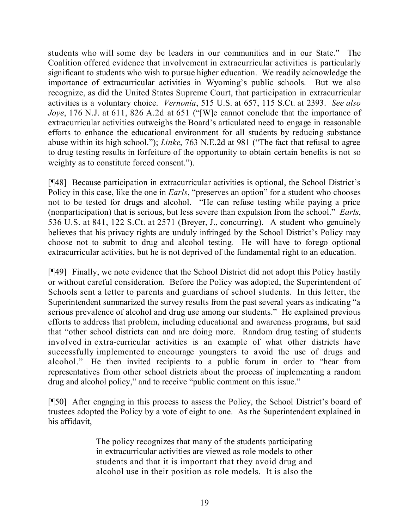students who will some day be leaders in our communities and in our State." The Coalition offered evidence that involvement in extracurricular activities is particularly significant to students who wish to pursue higher education. We readily acknowledge the importance of extracurricular activities in Wyoming's public schools. But we also recognize, as did the United States Supreme Court, that participation in extracurricular activities is a voluntary choice. *Vernonia*, 515 U.S. at 657, 115 S.Ct. at 2393. *See also Joye*, 176 N.J. at 611, 826 A.2d at 651 ("[W]e cannot conclude that the importance of extracurricular activities outweighs the Board's articulated need to engage in reasonable efforts to enhance the educational environment for all students by reducing substance abuse within its high school."); *Linke*, 763 N.E.2d at 981 ("The fact that refusal to agree to drug testing results in forfeiture of the opportunity to obtain certain benefits is not so weighty as to constitute forced consent.").

[¶48] Because participation in extracurricular activities is optional, the School District's Policy in this case, like the one in *Earls*, "preserves an option" for a student who chooses not to be tested for drugs and alcohol. "He can refuse testing while paying a price (nonparticipation) that is serious, but less severe than expulsion from the school." *Earls*, 536 U.S. at 841, 122 S.Ct. at 2571 (Breyer, J., concurring). A student who genuinely believes that his privacy rights are unduly infringed by the School District's Policy may choose not to submit to drug and alcohol testing. He will have to forego optional extracurricular activities, but he is not deprived of the fundamental right to an education.

[¶49] Finally, we note evidence that the School District did not adopt this Policy hastily or without careful consideration. Before the Policy was adopted, the Superintendent of Schools sent a letter to parents and guardians of school students. In this letter, the Superintendent summarized the survey results from the past several years as indicating "a serious prevalence of alcohol and drug use among our students." He explained previous efforts to address that problem, including educational and awareness programs, but said that "other school districts can and are doing more. Random drug testing of students involved in extra-curricular activities is an example of what other districts have successfully implemented to encourage youngsters to avoid the use of drugs and alcohol." He then invited recipients to a public forum in order to "hear from representatives from other school districts about the process of implementing a random drug and alcohol policy," and to receive "public comment on this issue."

[¶50] After engaging in this process to assess the Policy, the School District's board of trustees adopted the Policy by a vote of eight to one. As the Superintendent explained in his affidavit,

> The policy recognizes that many of the students participating in extracurricular activities are viewed as role models to other students and that it is important that they avoid drug and alcohol use in their position as role models. It is also the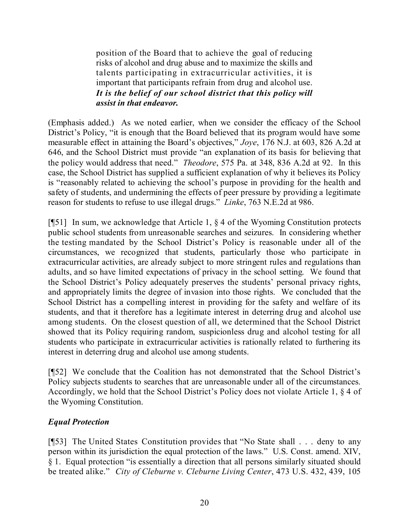position of the Board that to achieve the goal of reducing risks of alcohol and drug abuse and to maximize the skills and talents participating in extracurricular activities, it is important that participants refrain from drug and alcohol use. *It is the belief of our school district that this policy will assist in that endeavor.*

(Emphasis added.) As we noted earlier, when we consider the efficacy of the School District's Policy, "it is enough that the Board believed that its program would have some measurable effect in attaining the Board's objectives," *Joye*, 176 N.J. at 603, 826 A.2d at 646, and the School District must provide "an explanation of its basis for believing that the policy would address that need." *Theodore*, 575 Pa. at 348, 836 A.2d at 92. In this case, the School District has supplied a sufficient explanation of why it believes its Policy is "reasonably related to achieving the school's purpose in providing for the health and safety of students, and undermining the effects of peer pressure by providing a legitimate reason for students to refuse to use illegal drugs." *Linke*, 763 N.E.2d at 986.

[ $[$ [51] In sum, we acknowledge that Article 1,  $\S$  4 of the Wyoming Constitution protects public school students from unreasonable searches and seizures. In considering whether the testing mandated by the School District's Policy is reasonable under all of the circumstances, we recognized that students, particularly those who participate in extracurricular activities, are already subject to more stringent rules and regulations than adults, and so have limited expectations of privacy in the school setting. We found that the School District's Policy adequately preserves the students' personal privacy rights, and appropriately limits the degree of invasion into those rights. We concluded that the School District has a compelling interest in providing for the safety and welfare of its students, and that it therefore has a legitimate interest in deterring drug and alcohol use among students. On the closest question of all, we determined that the School District showed that its Policy requiring random, suspicionless drug and alcohol testing for all students who participate in extracurricular activities is rationally related to furthering its interest in deterring drug and alcohol use among students.

[¶52] We conclude that the Coalition has not demonstrated that the School District's Policy subjects students to searches that are unreasonable under all of the circumstances. Accordingly, we hold that the School District's Policy does not violate Article 1, § 4 of the Wyoming Constitution.

# *Equal Protection*

[¶53] The United States Constitution provides that "No State shall . . . deny to any person within its jurisdiction the equal protection of the laws." U.S. Const. amend. XIV, § 1. Equal protection "is essentially a direction that all persons similarly situated should be treated alike." *City of Cleburne v. Cleburne Living Center*, 473 U.S. 432, 439, 105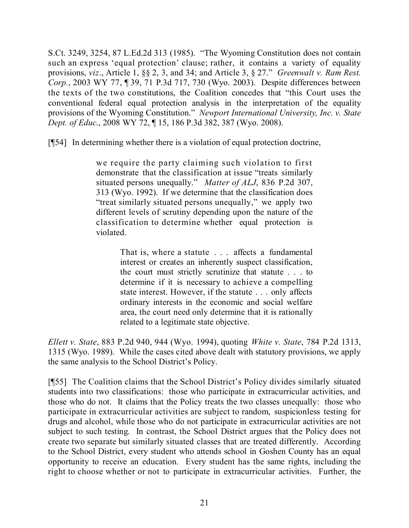S.Ct. 3249, 3254, 87 L.Ed.2d 313 (1985). "The Wyoming Constitution does not contain such an express 'equal protection' clause; rather, it contains a variety of equality provisions, *viz*., Article 1, §§ 2, 3, and 34; and Article 3, § 27." *Greenwalt v. Ram Rest. Corp.*, 2003 WY 77, ¶ 39, 71 P.3d 717, 730 (Wyo. 2003). Despite differences between the texts of the two constitutions, the Coalition concedes that "this Court uses the conventional federal equal protection analysis in the interpretation of the equality provisions of the Wyoming Constitution." *Newport International University, Inc. v. State Dept. of Educ*., 2008 WY 72, ¶ 15, 186 P.3d 382, 387 (Wyo. 2008).

[¶54] In determining whether there is a violation of equal protection doctrine,

we require the party claiming such violation to first demonstrate that the classification at issue "treats similarly situated persons unequally." *Matter of ALJ*, 836 P.2d 307, 313 (Wyo. 1992). If we determine that the classification does "treat similarly situated persons unequally," we apply two different levels of scrutiny depending upon the nature of the classification to determine whether equal protection is violated.

> That is, where a statute . . . affects a fundamental interest or creates an inherently suspect classification, the court must strictly scrutinize that statute . . . to determine if it is necessary to achieve a compelling state interest. However, if the statute . . . only affects ordinary interests in the economic and social welfare area, the court need only determine that it is rationally related to a legitimate state objective.

*Ellett v. State*, 883 P.2d 940, 944 (Wyo. 1994), quoting *White v. State*, 784 P.2d 1313, 1315 (Wyo. 1989). While the cases cited above dealt with statutory provisions, we apply the same analysis to the School District's Policy.

[¶55] The Coalition claims that the School District's Policy divides similarly situated students into two classifications: those who participate in extracurricular activities, and those who do not. It claims that the Policy treats the two classes unequally: those who participate in extracurricular activities are subject to random, suspicionless testing for drugs and alcohol, while those who do not participate in extracurricular activities are not subject to such testing. In contrast, the School District argues that the Policy does not create two separate but similarly situated classes that are treated differently. According to the School District, every student who attends school in Goshen County has an equal opportunity to receive an education. Every student has the same rights, including the right to choose whether or not to participate in extracurricular activities. Further, the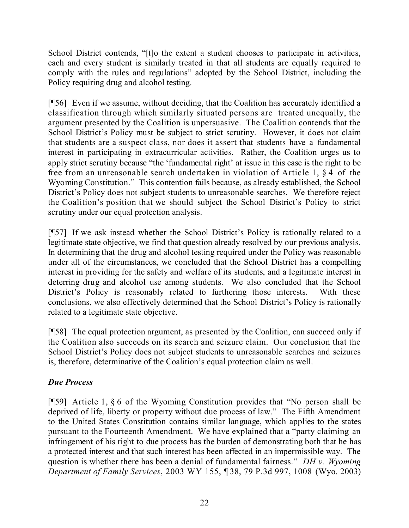School District contends, "[t]o the extent a student chooses to participate in activities, each and every student is similarly treated in that all students are equally required to comply with the rules and regulations" adopted by the School District, including the Policy requiring drug and alcohol testing.

[¶56] Even if we assume, without deciding, that the Coalition has accurately identified a classification through which similarly situated persons are treated unequally, the argument presented by the Coalition is unpersuasive. The Coalition contends that the School District's Policy must be subject to strict scrutiny. However, it does not claim that students are a suspect class, nor does it assert that students have a fundamental interest in participating in extracurricular activities. Rather, the Coalition urges us to apply strict scrutiny because "the 'fundamental right' at issue in this case is the right to be free from an unreasonable search undertaken in violation of Article 1, § 4 of the Wyoming Constitution." This contention fails because, as already established, the School District's Policy does not subject students to unreasonable searches. We therefore reject the Coalition's position that we should subject the School District's Policy to strict scrutiny under our equal protection analysis.

[¶57] If we ask instead whether the School District's Policy is rationally related to a legitimate state objective, we find that question already resolved by our previous analysis. In determining that the drug and alcohol testing required under the Policy was reasonable under all of the circumstances, we concluded that the School District has a compelling interest in providing for the safety and welfare of its students, and a legitimate interest in deterring drug and alcohol use among students. We also concluded that the School District's Policy is reasonably related to furthering those interests. With these conclusions, we also effectively determined that the School District's Policy is rationally related to a legitimate state objective.

[¶58] The equal protection argument, as presented by the Coalition, can succeed only if the Coalition also succeeds on its search and seizure claim. Our conclusion that the School District's Policy does not subject students to unreasonable searches and seizures is, therefore, determinative of the Coalition's equal protection claim as well.

# *Due Process*

[¶59] Article 1, § 6 of the Wyoming Constitution provides that "No person shall be deprived of life, liberty or property without due process of law." The Fifth Amendment to the United States Constitution contains similar language, which applies to the states pursuant to the Fourteenth Amendment. We have explained that a "party claiming an infringement of his right to due process has the burden of demonstrating both that he has a protected interest and that such interest has been affected in an impermissible way. The question is whether there has been a denial of fundamental fairness." *DH v. Wyoming Department of Family Services*, 2003 WY 155, ¶ 38, 79 P.3d 997, 1008 (Wyo. 2003)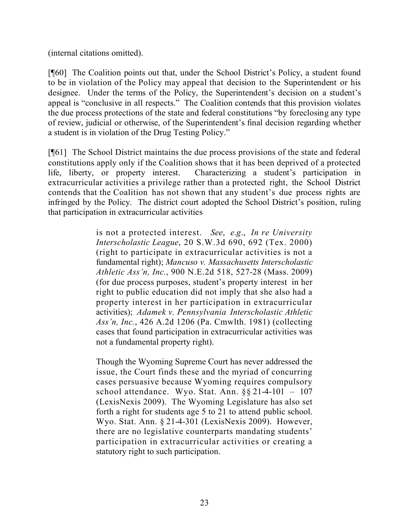(internal citations omitted).

[¶60] The Coalition points out that, under the School District's Policy, a student found to be in violation of the Policy may appeal that decision to the Superintendent or his designee. Under the terms of the Policy, the Superintendent's decision on a student's appeal is "conclusive in all respects." The Coalition contends that this provision violates the due process protections of the state and federal constitutions "by foreclosing any type of review, judicial or otherwise, of the Superintendent's final decision regarding whether a student is in violation of the Drug Testing Policy."

[¶61] The School District maintains the due process provisions of the state and federal constitutions apply only if the Coalition shows that it has been deprived of a protected life, liberty, or property interest. Characterizing a student's participation in extracurricular activities a privilege rather than a protected right, the School District contends that the Coalition has not shown that any student's due process rights are infringed by the Policy. The district court adopted the School District's position, ruling that participation in extracurricular activities

> is not a protected interest. *See*, *e*.*g*., *In re University Interscholastic League*, 20 S.W.3d 690, 692 (Tex. 2000) (right to participate in extracurricular activities is not a fundamental right); *Mancuso v. Massachusetts Interscholastic Athletic Ass'n, Inc.*, 900 N.E.2d 518, 527-28 (Mass. 2009) (for due process purposes, student's property interest in her right to public education did not imply that she also had a property interest in her participation in extracurricular activities); *Adamek v. Pennsylvania Interscholastic Athletic Ass'n, Inc.*, 426 A.2d 1206 (Pa. Cmwlth. 1981) (collecting cases that found participation in extracurricular activities was not a fundamental property right).

> Though the Wyoming Supreme Court has never addressed the issue, the Court finds these and the myriad of concurring cases persuasive because Wyoming requires compulsory school attendance. Wyo. Stat. Ann.  $\S$ § 21-4-101 – 107 (LexisNexis 2009). The Wyoming Legislature has also set forth a right for students age 5 to 21 to attend public school. Wyo. Stat. Ann. § 21-4-301 (LexisNexis 2009). However, there are no legislative counterparts mandating students' participation in extracurricular activities or creating a statutory right to such participation.